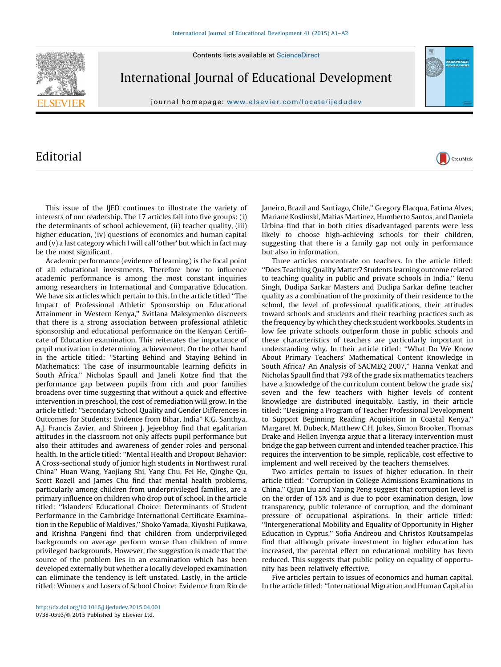Contents lists available at [ScienceDirect](http://www.sciencedirect.com/science/journal/07380593)



International Journal of Educational Development

journal homepage: www.elsevier.com/locate/ijedudev

## Editorial

This issue of the IJED continues to illustrate the variety of interests of our readership. The 17 articles fall into five groups: (i) the determinants of school achievement, (ii) teacher quality, (iii) higher education, (iv) questions of economics and human capital and (v) a last category which I will call 'other' but which in fact may be the most significant.

Academic performance (evidence of learning) is the focal point of all educational investments. Therefore how to influence academic performance is among the most constant inquiries among researchers in International and Comparative Education. We have six articles which pertain to this. In the article titled ''The Impact of Professional Athletic Sponsorship on Educational Attainment in Western Kenya,'' Svitlana Maksymenko discovers that there is a strong association between professional athletic sponsorship and educational performance on the Kenyan Certificate of Education examination. This reiterates the importance of pupil motivation in determining achievement. On the other hand in the article titled: ''Starting Behind and Staying Behind in Mathematics: The case of insurmountable learning deficits in South Africa,'' Nicholas Spaull and Janeli Kotze find that the performance gap between pupils from rich and poor families broadens over time suggesting that without a quick and effective intervention in preschool, the cost of remediation will grow. In the article titled: ''Secondary School Quality and Gender Differences in Outcomes for Students: Evidence from Bihar, India'' K.G. Santhya, A.J. Francis Zavier, and Shireen J. Jejeebhoy find that egalitarian attitudes in the classroom not only affects pupil performance but also their attitudes and awareness of gender roles and personal health. In the article titled: ''Mental Health and Dropout Behavior: A Cross-sectional study of junior high students in Northwest rural China'' Huan Wang, Yaojiang Shi, Yang Chu, Fei He, Qinghe Qu, Scott Rozell and James Chu find that mental health problems, particularly among children from underprivileged families, are a primary influence on children who drop out of school. In the article titled: ''Islanders' Educational Choice: Determinants of Student Performance in the Cambridge International Certificate Examination in the Republic of Maldives,'' Shoko Yamada, Kiyoshi Fujikawa, and Krishna Pangeni find that children from underprivileged backgrounds on average perform worse than children of more privileged backgrounds. However, the suggestion is made that the source of the problem lies in an examination which has been developed externally but whether a locally developed examination can eliminate the tendency is left unstated. Lastly, in the article titled: Winners and Losers of School Choice: Evidence from Rio de

Janeiro, Brazil and Santiago, Chile,'' Gregory Elacqua, Fatima Alves, Mariane Koslinski, Matias Martinez, Humberto Santos, and Daniela Urbina find that in both cities disadvantaged parents were less likely to choose high-achieving schools for their children, suggesting that there is a family gap not only in performance but also in information.

CrossMark

Three articles concentrate on teachers. In the article titled: ''Does Teaching Quality Matter? Students learning outcome related to teaching quality in public and private schools in India,'' Renu Singh, Dudipa Sarkar Masters and Dudipa Sarkar define teacher quality as a combination of the proximity of their residence to the school, the level of professional qualifications, their attitudes toward schools and students and their teaching practices such as the frequency by which they check student workbooks. Students in low fee private schools outperform those in public schools and these characteristics of teachers are particularly important in understanding why. In their article titled: ''What Do We Know About Primary Teachers' Mathematical Content Knowledge in South Africa? An Analysis of SACMEQ 2007," Hanna Venkat and Nicholas Spaull find that 79% of the grade six mathematics teachers have a knowledge of the curriculum content below the grade six/ seven and the few teachers with higher levels of content knowledge are distributed inequitably. Lastly, in their article titled: ''Designing a Program of Teacher Professional Development to Support Beginning Reading Acquisition in Coastal Kenya,'' Margaret M. Dubeck, Matthew C.H. Jukes, Simon Brooker, Thomas Drake and Hellen Inyenga argue that a literacy intervention must bridge the gap between current and intended teacher practice. This requires the intervention to be simple, replicable, cost effective to implement and well received by the teachers themselves.

Two articles pertain to issues of higher education. In their article titled: ''Corruption in College Admissions Examinations in China,'' Qijun Liu and Yaping Peng suggest that corruption level is on the order of 15% and is due to poor examination design, low transparency, public tolerance of corruption, and the dominant pressure of occupational aspirations. In their article titled: ''Intergenerational Mobility and Equality of Opportunity in Higher Education in Cyprus,'' Sofia Andreou and Christos Koutsampelas find that although private investment in higher education has increased, the parental effect on educational mobility has been reduced. This suggests that public policy on equality of opportunity has been relatively effective.

Five articles pertain to issues of economics and human capital. In the article titled: ''International Migration and Human Capital in